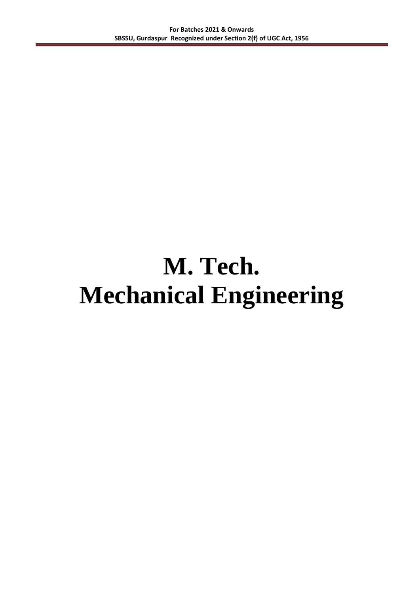# **M. Tech. Mechanical Engineering**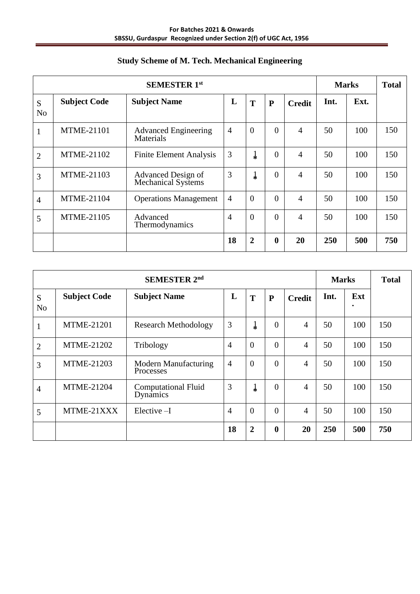| <b>SEMESTER 1st</b> |                     |                                                 |                |                |                  |                | <b>Marks</b> |      | <b>Total</b> |
|---------------------|---------------------|-------------------------------------------------|----------------|----------------|------------------|----------------|--------------|------|--------------|
| S<br>N <sub>o</sub> | <b>Subject Code</b> | <b>Subject Name</b>                             | L              | T              | ${\bf P}$        | <b>Credit</b>  | Int.         | Ext. |              |
| $\mathbf{1}$        | <b>MTME-21101</b>   | <b>Advanced Engineering</b><br><b>Materials</b> | $\overline{4}$ | $\overline{0}$ | $\theta$         | $\overline{4}$ | 50           | 100  | 150          |
| $\overline{2}$      | MTME-21102          | <b>Finite Element Analysis</b>                  | 3              | ļ              | $\overline{0}$   | $\overline{4}$ | 50           | 100  | 150          |
| 3                   | <b>MTME-21103</b>   | Advanced Design of<br><b>Mechanical Systems</b> | 3              | ļ              | $\theta$         | $\overline{4}$ | 50           | 100  | 150          |
| $\overline{4}$      | <b>MTME-21104</b>   | <b>Operations Management</b>                    | $\overline{4}$ | $\theta$       | $\theta$         | $\overline{4}$ | 50           | 100  | 150          |
| 5                   | <b>MTME-21105</b>   | Advanced<br>Thermodynamics                      | $\overline{4}$ | $\overline{0}$ | $\theta$         | $\overline{4}$ | 50           | 100  | 150          |
|                     |                     |                                                 | 18             | $\overline{2}$ | $\boldsymbol{0}$ | 20             | 250          | 500  | 750          |

## **Study Scheme of M. Tech. Mechanical Engineering**

| <b>SEMESTER 2nd</b> |                     |                                          |                |                |                  |                | <b>Marks</b> |     | <b>Total</b> |
|---------------------|---------------------|------------------------------------------|----------------|----------------|------------------|----------------|--------------|-----|--------------|
| S<br>N <sub>o</sub> | <b>Subject Code</b> | <b>Subject Name</b>                      | L              | T              | $\mathbf{P}$     | <b>Credit</b>  | Int.         | Ext |              |
| $\mathbf{1}$        | <b>MTME-21201</b>   | <b>Research Methodology</b>              | 3              | $\downarrow$   | $\Omega$         | 4              | 50           | 100 | 150          |
| $\overline{2}$      | <b>MTME-21202</b>   | Tribology                                | $\overline{4}$ | $\theta$       | $\theta$         | $\overline{4}$ | 50           | 100 | 150          |
| 3                   | <b>MTME-21203</b>   | Modern Manufacturing<br><b>Processes</b> | $\overline{4}$ | $\theta$       | $\theta$         | $\overline{4}$ | 50           | 100 | 150          |
| $\overline{4}$      | <b>MTME-21204</b>   | <b>Computational Fluid</b><br>Dynamics   | 3              | ¥              | $\Omega$         | $\overline{4}$ | 50           | 100 | 150          |
| 5                   | MTME-21XXX          | $Elective-I$                             | $\overline{4}$ | $\theta$       | $\theta$         | 4              | 50           | 100 | 150          |
|                     |                     |                                          | 18             | $\overline{2}$ | $\boldsymbol{0}$ | 20             | 250          | 500 | 750          |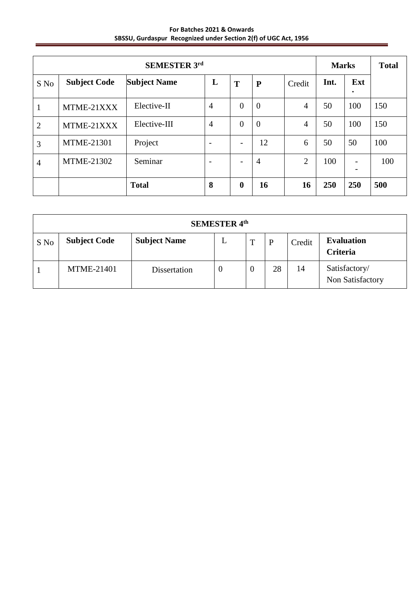**For Batches 2021 & Onwards SBSSU, Gurdaspur Recognized under Section 2(f) of UGC Act, 1956**

| <b>SEMESTER 3rd</b><br><b>Marks</b> |                     |                     |                          |                  |                |                | <b>Total</b> |                  |     |
|-------------------------------------|---------------------|---------------------|--------------------------|------------------|----------------|----------------|--------------|------------------|-----|
| S No                                | <b>Subject Code</b> | <b>Subject Name</b> | L                        | T                | ${\bf P}$      | Credit         | Int.         | Ext<br>$\bullet$ |     |
| 1                                   | MTME-21XXX          | Elective-II         | $\overline{4}$           | $\theta$         | $\theta$       | $\overline{4}$ | 50           | 100              | 150 |
| $\overline{2}$                      | MTME-21XXX          | Elective-III        | $\overline{4}$           | $\theta$         | $\theta$       | 4              | 50           | 100              | 150 |
| 3                                   | <b>MTME-21301</b>   | Project             | $\overline{\phantom{0}}$ |                  | 12             | 6              | 50           | 50               | 100 |
| $\overline{4}$                      | <b>MTME-21302</b>   | Seminar             | $\overline{\phantom{a}}$ |                  | $\overline{4}$ | $\overline{2}$ | 100          |                  | 100 |
|                                     |                     | <b>Total</b>        | 8                        | $\boldsymbol{0}$ | 16             | 16             | 250          | 250              | 500 |

| <b>SEMESTER 4th</b> |                     |                     |   |                  |    |        |                                   |
|---------------------|---------------------|---------------------|---|------------------|----|--------|-----------------------------------|
| S No                | <b>Subject Code</b> | <b>Subject Name</b> | L | $\mathbf T$      | P  | Credit | <b>Evaluation</b><br>Criteria     |
|                     | <b>MTME-21401</b>   | Dissertation        | U | $\boldsymbol{0}$ | 28 | 14     | Satisfactory/<br>Non Satisfactory |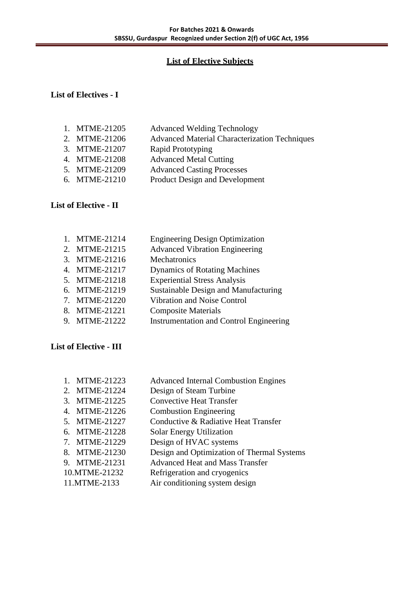## **List of Elective Subjects**

## **List of Electives - I**

- 1. MTME-21205 Advanced Welding Technology 2. MTME-21206 Advanced Material Characterization Techniques 3. MTME-21207 Rapid Prototyping 4. MTME-21208 Advanced Metal Cutting 5. MTME-21209 Advanced Casting Processes
- 6. MTME-21210 Product Design and Development

## **List of Elective - II**

1. MTME-21214 Engineering Design Optimization 2. MTME-21215 Advanced Vibration Engineering 3. MTME-21216 Mechatronics 4. MTME-21217 Dynamics of Rotating Machines 5. MTME-21218 Experiential Stress Analysis 6. MTME-21219 Sustainable Design and Manufacturing 7. MTME-21220 Vibration and Noise Control 8. MTME-21221 Composite Materials 9. MTME-21222 Instrumentation and Control Engineering

## **List of Elective - III**

| 1. MTME-21223 | <b>Advanced Internal Combustion Engines</b> |
|---------------|---------------------------------------------|
| 2. MTME-21224 | Design of Steam Turbine                     |
| 3. MTME-21225 | <b>Convective Heat Transfer</b>             |
| 4. MTME-21226 | <b>Combustion Engineering</b>               |
| 5. MTME-21227 | Conductive & Radiative Heat Transfer        |
| 6. MTME-21228 | Solar Energy Utilization                    |
| 7. MTME-21229 | Design of HVAC systems                      |
| 8. MTME-21230 | Design and Optimization of Thermal Systems  |
| 9. MTME-21231 | <b>Advanced Heat and Mass Transfer</b>      |
| 10.MTME-21232 | Refrigeration and cryogenics                |
| 11.MTME-2133  | Air conditioning system design              |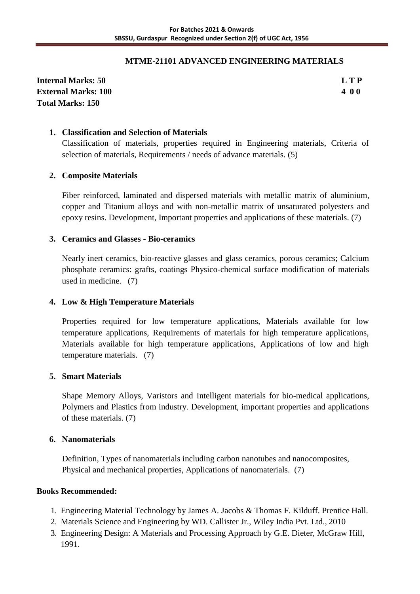## **MTME-21101 ADVANCED ENGINEERING MATERIALS**

**Internal Marks: 50 L T P External Marks: 100 4 0 0 Total Marks: 150**

## **1. Classification and Selection of Materials**

Classification of materials, properties required in Engineering materials, Criteria of selection of materials, Requirements / needs of advance materials. (5)

## **2. Composite Materials**

Fiber reinforced, laminated and dispersed materials with metallic matrix of aluminium, copper and Titanium alloys and with non-metallic matrix of unsaturated polyesters and epoxy resins. Development, Important properties and applications of these materials. (7)

## **3. Ceramics and Glasses - Bio-ceramics**

Nearly inert ceramics, bio-reactive glasses and glass ceramics, porous ceramics; Calcium phosphate ceramics: grafts, coatings Physico-chemical surface modification of materials used in medicine. (7)

## **4. Low & High Temperature Materials**

Properties required for low temperature applications, Materials available for low temperature applications, Requirements of materials for high temperature applications, Materials available for high temperature applications, Applications of low and high temperature materials. (7)

## **5. Smart Materials**

Shape Memory Alloys, Varistors and Intelligent materials for bio-medical applications, Polymers and Plastics from industry. Development, important properties and applications of these materials. (7)

## **6. Nanomaterials**

Definition, Types of nanomaterials including carbon nanotubes and nanocomposites, Physical and mechanical properties, Applications of nanomaterials. (7)

- 1. Engineering Material Technology by James A. Jacobs & Thomas F. Kilduff. Prentice Hall.
- 2. Materials Science and Engineering by WD. Callister Jr., Wiley India Pvt. Ltd., 2010
- 3. Engineering Design: A Materials and Processing Approach by G.E. Dieter, McGraw Hill, 1991.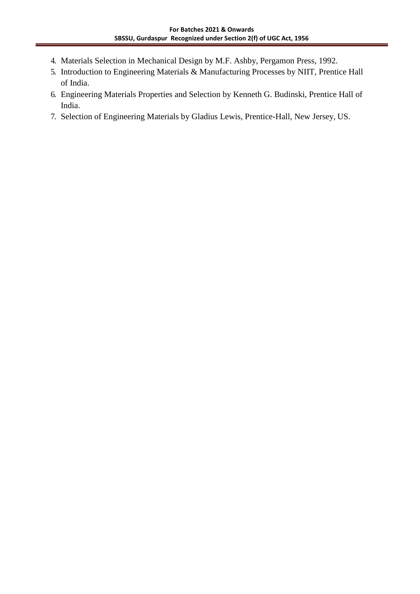- 4. Materials Selection in Mechanical Design by M.F. Ashby, Pergamon Press, 1992.
- 5. Introduction to Engineering Materials & Manufacturing Processes by NIIT, Prentice Hall of India.
- 6. Engineering Materials Properties and Selection by Kenneth G. Budinski, Prentice Hall of India.
- 7. Selection of Engineering Materials by Gladius Lewis, Prentice-Hall, New Jersey, US.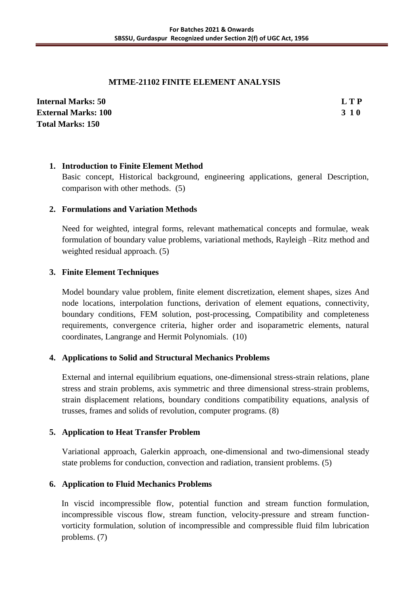## **MTME-21102 FINITE ELEMENT ANALYSIS**

| <b>Internal Marks: 50</b>  | L T P |
|----------------------------|-------|
| <b>External Marks: 100</b> | 3 1 0 |
| <b>Total Marks: 150</b>    |       |

## **1. Introduction to Finite Element Method**

Basic concept, Historical background, engineering applications, general Description, comparison with other methods. (5)

## **2. Formulations and Variation Methods**

Need for weighted, integral forms, relevant mathematical concepts and formulae, weak formulation of boundary value problems, variational methods, Rayleigh –Ritz method and weighted residual approach. (5)

## **3. Finite Element Techniques**

Model boundary value problem, finite element discretization, element shapes, sizes And node locations, interpolation functions, derivation of element equations, connectivity, boundary conditions, FEM solution, post-processing, Compatibility and completeness requirements, convergence criteria, higher order and isoparametric elements, natural coordinates, Langrange and Hermit Polynomials. (10)

## **4. Applications to Solid and Structural Mechanics Problems**

External and internal equilibrium equations, one-dimensional stress-strain relations, plane stress and strain problems, axis symmetric and three dimensional stress-strain problems, strain displacement relations, boundary conditions compatibility equations, analysis of trusses, frames and solids of revolution, computer programs. (8)

## **5. Application to Heat Transfer Problem**

Variational approach, Galerkin approach, one-dimensional and two-dimensional steady state problems for conduction, convection and radiation, transient problems. (5)

## **6. Application to Fluid Mechanics Problems**

In viscid incompressible flow, potential function and stream function formulation, incompressible viscous flow, stream function, velocity-pressure and stream functionvorticity formulation, solution of incompressible and compressible fluid film lubrication problems. (7)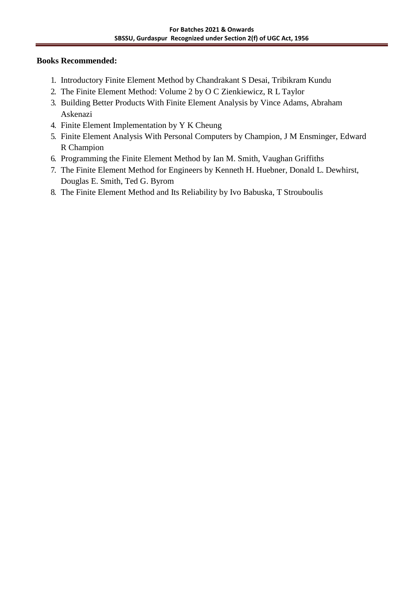- 1. Introductory Finite Element Method by Chandrakant S Desai, Tribikram Kundu
- 2. The Finite Element Method: Volume 2 by O C Zienkiewicz, R L Taylor
- 3. Building Better Products With Finite Element Analysis by Vince Adams, Abraham Askenazi
- 4. Finite Element Implementation by Y K Cheung
- 5. Finite Element Analysis With Personal Computers by Champion, J M Ensminger, Edward R Champion
- 6. Programming the Finite Element Method by Ian M. Smith, Vaughan Griffiths
- 7. The Finite Element Method for Engineers by Kenneth H. Huebner, Donald L. Dewhirst, Douglas E. Smith, Ted G. Byrom
- 8. The Finite Element Method and Its Reliability by Ivo Babuska, T Strouboulis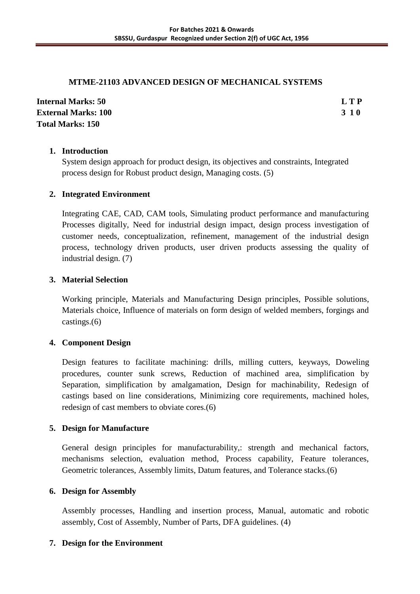## **MTME-21103 ADVANCED DESIGN OF MECHANICAL SYSTEMS**

| <b>Internal Marks: 50</b>  | L T P |
|----------------------------|-------|
| <b>External Marks: 100</b> | 3 1 0 |
| <b>Total Marks: 150</b>    |       |

## **1. Introduction**

System design approach for product design, its objectives and constraints, Integrated process design for Robust product design, Managing costs. (5)

## **2. Integrated Environment**

Integrating CAE, CAD, CAM tools, Simulating product performance and manufacturing Processes digitally, Need for industrial design impact, design process investigation of customer needs, conceptualization, refinement, management of the industrial design process, technology driven products, user driven products assessing the quality of industrial design. (7)

## **3. Material Selection**

Working principle, Materials and Manufacturing Design principles, Possible solutions, Materials choice, Influence of materials on form design of welded members, forgings and castings.(6)

## **4. Component Design**

Design features to facilitate machining: drills, milling cutters, keyways, Doweling procedures, counter sunk screws, Reduction of machined area, simplification by Separation, simplification by amalgamation, Design for machinability, Redesign of castings based on line considerations, Minimizing core requirements, machined holes, redesign of cast members to obviate cores.(6)

## **5. Design for Manufacture**

General design principles for manufacturability,: strength and mechanical factors, mechanisms selection, evaluation method, Process capability, Feature tolerances, Geometric tolerances, Assembly limits, Datum features, and Tolerance stacks.(6)

## **6. Design for Assembly**

Assembly processes, Handling and insertion process, Manual, automatic and robotic assembly, Cost of Assembly, Number of Parts, DFA guidelines. (4)

## **7. Design for the Environment**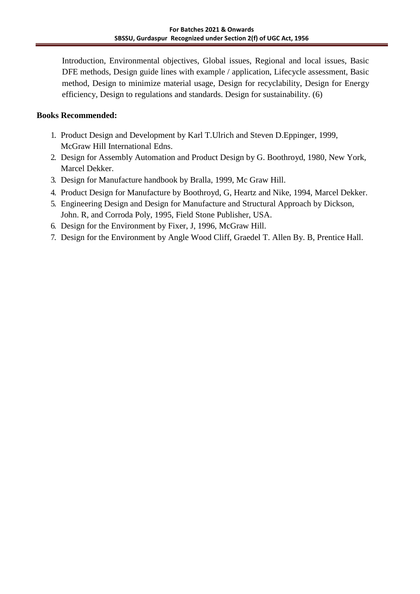Introduction, Environmental objectives, Global issues, Regional and local issues, Basic DFE methods, Design guide lines with example / application, Lifecycle assessment, Basic method, Design to minimize material usage, Design for recyclability, Design for Energy efficiency, Design to regulations and standards. Design for sustainability. (6)

- 1. Product Design and Development by Karl T.Ulrich and Steven D.Eppinger, 1999, McGraw Hill International Edns.
- 2. Design for Assembly Automation and Product Design by G. Boothroyd, 1980, New York, Marcel Dekker.
- 3. Design for Manufacture handbook by Bralla, 1999, Mc Graw Hill.
- 4. Product Design for Manufacture by Boothroyd, G, Heartz and Nike, 1994, Marcel Dekker.
- 5. Engineering Design and Design for Manufacture and Structural Approach by Dickson, John. R, and Corroda Poly, 1995, Field Stone Publisher, USA.
- 6. Design for the Environment by Fixer, J, 1996, McGraw Hill.
- 7. Design for the Environment by Angle Wood Cliff, Graedel T. Allen By. B, Prentice Hall.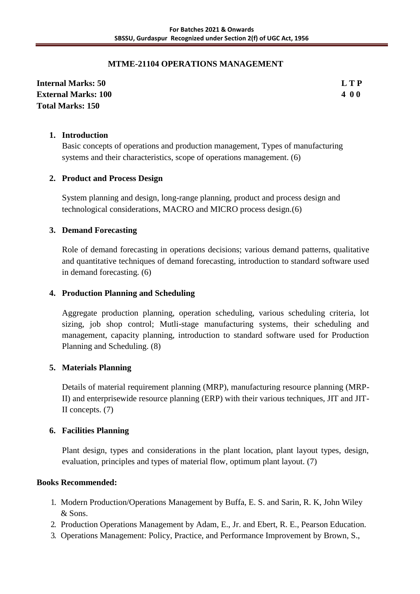## **MTME-21104 OPERATIONS MANAGEMENT**

**Internal Marks: 50 L T P External Marks: 100 4 0 0 Total Marks: 150**

## **1. Introduction**

Basic concepts of operations and production management, Types of manufacturing systems and their characteristics, scope of operations management. (6)

## **2. Product and Process Design**

System planning and design, long-range planning, product and process design and technological considerations, MACRO and MICRO process design.(6)

## **3. Demand Forecasting**

Role of demand forecasting in operations decisions; various demand patterns, qualitative and quantitative techniques of demand forecasting, introduction to standard software used in demand forecasting. (6)

## **4. Production Planning and Scheduling**

Aggregate production planning, operation scheduling, various scheduling criteria, lot sizing, job shop control; Mutli-stage manufacturing systems, their scheduling and management, capacity planning, introduction to standard software used for Production Planning and Scheduling. (8)

## **5. Materials Planning**

Details of material requirement planning (MRP), manufacturing resource planning (MRP-II) and enterprisewide resource planning (ERP) with their various techniques, JIT and JIT-II concepts. (7)

## **6. Facilities Planning**

Plant design, types and considerations in the plant location, plant layout types, design, evaluation, principles and types of material flow, optimum plant layout. (7)

- 1. Modern Production/Operations Management by Buffa, E. S. and Sarin, R. K, John Wiley & Sons.
- 2. Production Operations Management by Adam, E., Jr. and Ebert, R. E., Pearson Education.
- 3. Operations Management: Policy, Practice, and Performance Improvement by Brown, S.,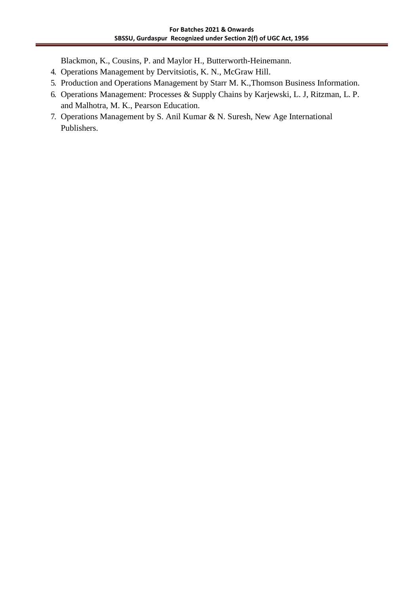Blackmon, K., Cousins, P. and Maylor H., Butterworth-Heinemann.

- 4. Operations Management by Dervitsiotis, K. N., McGraw Hill.
- 5. Production and Operations Management by Starr M. K.,Thomson Business Information.
- 6. Operations Management: Processes & Supply Chains by Karjewski, L. J, Ritzman, L. P. and Malhotra, M. K., Pearson Education.
- 7. Operations Management by S. Anil Kumar & N. Suresh, New Age International Publishers.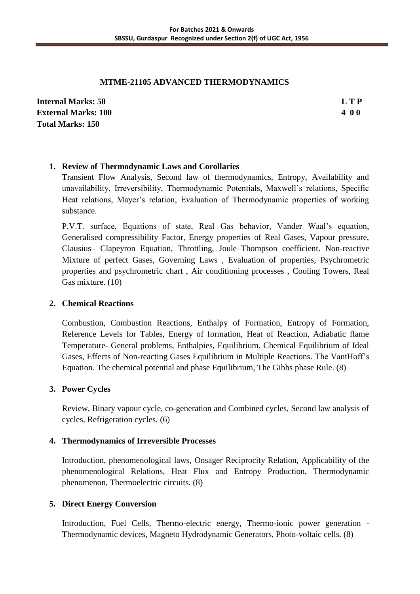## **MTME-21105 ADVANCED THERMODYNAMICS**

**Internal Marks: 50 L T P External Marks: 100 4 0 0 Total Marks: 150**

## **1. Review of Thermodynamic Laws and Corollaries**

Transient Flow Analysis, Second law of thermodynamics, Entropy, Availability and unavailability, Irreversibility, Thermodynamic Potentials, Maxwell's relations, Specific Heat relations, Mayer's relation, Evaluation of Thermodynamic properties of working substance.

P.V.T. surface, Equations of state, Real Gas behavior, Vander Waal's equation, Generalised compressibility Factor, Energy properties of Real Gases, Vapour pressure, Clausius– Clapeyron Equation, Throttling, Joule–Thompson coefficient. Non-reactive Mixture of perfect Gases, Governing Laws , Evaluation of properties, Psychrometric properties and psychrometric chart , Air conditioning processes , Cooling Towers, Real Gas mixture. (10)

## **2. Chemical Reactions**

Combustion, Combustion Reactions, Enthalpy of Formation, Entropy of Formation, Reference Levels for Tables, Energy of formation, Heat of Reaction, Adiabatic flame Temperature- General problems, Enthalpies, Equilibrium. Chemical Equilibrium of Ideal Gases, Effects of Non-reacting Gases Equilibrium in Multiple Reactions. The VantHoff's Equation. The chemical potential and phase Equilibrium, The Gibbs phase Rule. (8)

## **3. Power Cycles**

Review, Binary vapour cycle, co-generation and Combined cycles, Second law analysis of cycles, Refrigeration cycles. (6)

## **4. Thermodynamics of Irreversible Processes**

Introduction, phenomenological laws, Onsager Reciprocity Relation, Applicability of the phenomenological Relations, Heat Flux and Entropy Production, Thermodynamic phenomenon, Thermoelectric circuits. (8)

## **5. Direct Energy Conversion**

Introduction, Fuel Cells, Thermo-electric energy, Thermo-ionic power generation - Thermodynamic devices, Magneto Hydrodynamic Generators, Photo-voltaic cells. (8)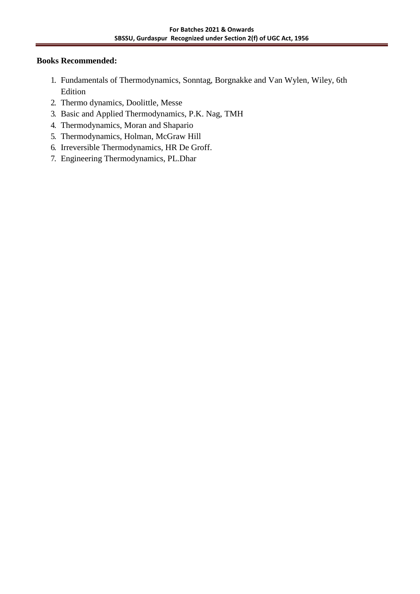- 1. Fundamentals of Thermodynamics, Sonntag, Borgnakke and Van Wylen, Wiley, 6th Edition
- 2. Thermo dynamics, Doolittle, Messe
- 3. Basic and Applied Thermodynamics, P.K. Nag, TMH
- 4. Thermodynamics, Moran and Shapario
- 5. Thermodynamics, Holman, McGraw Hill
- 6. Irreversible Thermodynamics, HR De Groff.
- 7. Engineering Thermodynamics, PL.Dhar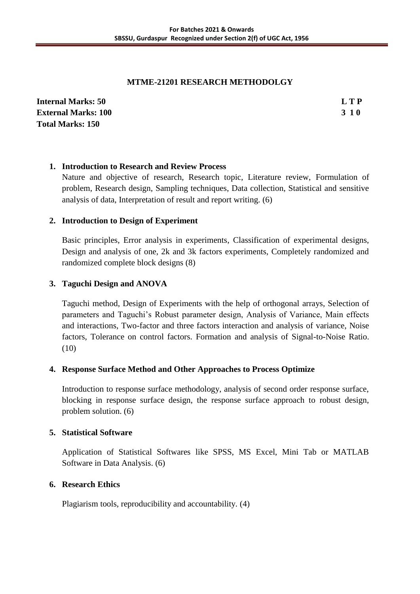## **MTME-21201 RESEARCH METHODOLGY**

| <b>Internal Marks: 50</b>  | L T P |
|----------------------------|-------|
| <b>External Marks: 100</b> | 3 1 0 |
| <b>Total Marks: 150</b>    |       |

## **1. Introduction to Research and Review Process**

Nature and objective of research, Research topic, Literature review, Formulation of problem, Research design, Sampling techniques, Data collection, Statistical and sensitive analysis of data, Interpretation of result and report writing. (6)

## **2. Introduction to Design of Experiment**

Basic principles, Error analysis in experiments, Classification of experimental designs, Design and analysis of one, 2k and 3k factors experiments, Completely randomized and randomized complete block designs (8)

## **3. Taguchi Design and ANOVA**

Taguchi method, Design of Experiments with the help of orthogonal arrays, Selection of parameters and Taguchi's Robust parameter design, Analysis of Variance, Main effects and interactions, Two-factor and three factors interaction and analysis of variance, Noise factors, Tolerance on control factors. Formation and analysis of Signal-to-Noise Ratio. (10)

## **4. Response Surface Method and Other Approaches to Process Optimize**

Introduction to response surface methodology, analysis of second order response surface, blocking in response surface design, the response surface approach to robust design, problem solution. (6)

## **5. Statistical Software**

Application of Statistical Softwares like SPSS, MS Excel, Mini Tab or MATLAB Software in Data Analysis. (6)

## **6. Research Ethics**

Plagiarism tools, reproducibility and accountability. (4)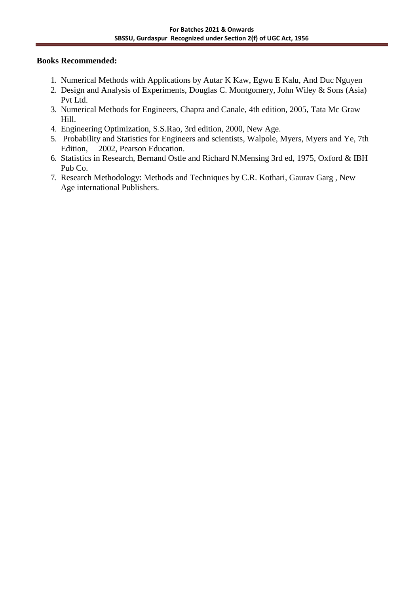- 1. Numerical Methods with Applications by Autar K Kaw, Egwu E Kalu, And Duc Nguyen
- 2. Design and Analysis of Experiments, Douglas C. Montgomery, John Wiley & Sons (Asia) Pvt Ltd.
- 3. Numerical Methods for Engineers, Chapra and Canale, 4th edition, 2005, Tata Mc Graw Hill.
- 4. Engineering Optimization, S.S.Rao, 3rd edition, 2000, New Age.
- 5. Probability and Statistics for Engineers and scientists, Walpole, Myers, Myers and Ye, 7th Edition, 2002, Pearson Education.
- 6. Statistics in Research, Bernand Ostle and Richard N.Mensing 3rd ed, 1975, Oxford & IBH Pub Co.
- 7. Research Methodology: Methods and Techniques by C.R. Kothari, Gaurav Garg , New Age international Publishers.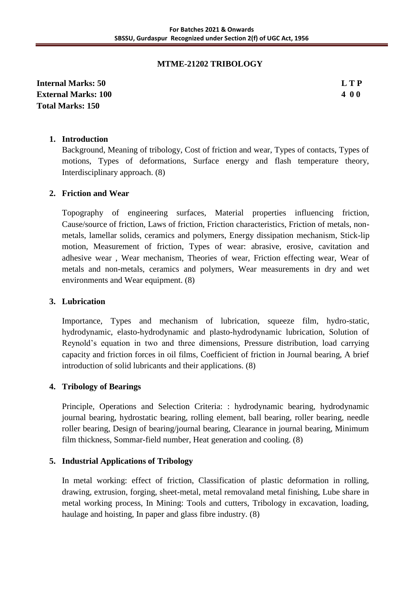## **MTME-21202 TRIBOLOGY**

**Internal Marks: 50 L T P External Marks: 100 4 0 0 Total Marks: 150**

## **1. Introduction**

Background, Meaning of tribology, Cost of friction and wear, Types of contacts, Types of motions, Types of deformations, Surface energy and flash temperature theory, Interdisciplinary approach. (8)

## **2. Friction and Wear**

Topography of engineering surfaces, Material properties influencing friction, Cause/source of friction, Laws of friction, Friction characteristics, Friction of metals, nonmetals, lamellar solids, ceramics and polymers, Energy dissipation mechanism, Stick-lip motion, Measurement of friction, Types of wear: abrasive, erosive, cavitation and adhesive wear , Wear mechanism, Theories of wear, Friction effecting wear, Wear of metals and non-metals, ceramics and polymers, Wear measurements in dry and wet environments and Wear equipment. (8)

## **3. Lubrication**

Importance, Types and mechanism of lubrication, squeeze film, hydro-static, hydrodynamic, elasto-hydrodynamic and plasto-hydrodynamic lubrication, Solution of Reynold's equation in two and three dimensions, Pressure distribution, load carrying capacity and friction forces in oil films, Coefficient of friction in Journal bearing, A brief introduction of solid lubricants and their applications. (8)

## **4. Tribology of Bearings**

Principle, Operations and Selection Criteria: : hydrodynamic bearing, hydrodynamic journal bearing, hydrostatic bearing, rolling element, ball bearing, roller bearing, needle roller bearing, Design of bearing/journal bearing, Clearance in journal bearing, Minimum film thickness, Sommar-field number, Heat generation and cooling. (8)

## **5. Industrial Applications of Tribology**

In metal working: effect of friction, Classification of plastic deformation in rolling, drawing, extrusion, forging, sheet-metal, metal removaland metal finishing, Lube share in metal working process, In Mining: Tools and cutters, Tribology in excavation, loading, haulage and hoisting, In paper and glass fibre industry. (8)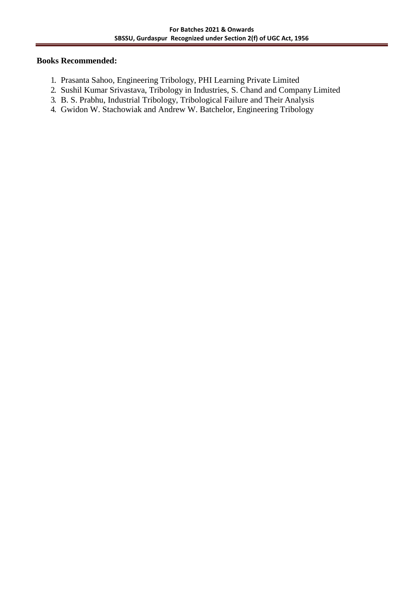- 1. Prasanta Sahoo, Engineering Tribology, PHI Learning Private Limited
- 2. Sushil Kumar Srivastava, Tribology in Industries, S. Chand and Company Limited
- 3. B. S. Prabhu, Industrial Tribology, Tribological Failure and Their Analysis
- 4. Gwidon W. Stachowiak and Andrew W. Batchelor, Engineering Tribology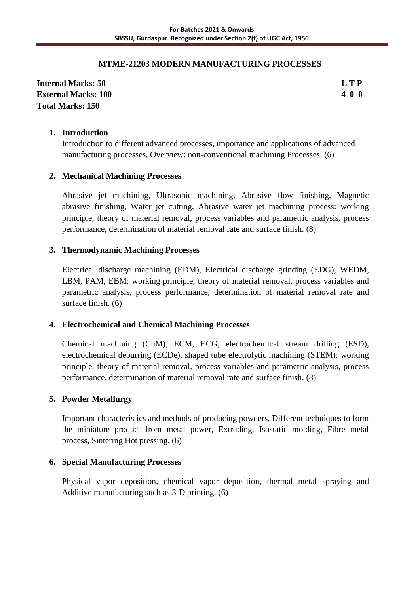## **MTME-21203 MODERN MANUFACTURING PROCESSES**

**Internal Marks: 50 L T P External Marks: 100 4 0 0 Total Marks: 150**

#### **1. Introduction**

Introduction to different advanced processes, importance and applications of advanced manufacturing processes. Overview: non-conventional machining Processes. (6)

## **2. Mechanical Machining Processes**

Abrasive jet machining, Ultrasonic machining, Abrasive flow finishing, Magnetic abrasive finishing, Water jet cutting, Abrasive water jet machining process: working principle, theory of material removal, process variables and parametric analysis, process performance, determination of material removal rate and surface finish. (8)

## **3. Thermodynamic Machining Processes**

Electrical discharge machining (EDM), Electrical discharge grinding (EDG), WEDM, LBM, PAM, EBM: working principle, theory of material removal, process variables and parametric analysis, process performance, determination of material removal rate and surface finish. (6)

## **4. Electrochemical and Chemical Machining Processes**

Chemical machining (ChM), ECM, ECG, electrochemical stream drilling (ESD), electrochemical deburring (ECDe), shaped tube electrolytic machining (STEM): working principle, theory of material removal, process variables and parametric analysis, process performance, determination of material removal rate and surface finish. (8)

## **5. Powder Metallurgy**

Important characteristics and methods of producing powders, Different techniques to form the miniature product from metal power, Extruding, Isostatic molding, Fibre metal process, Sintering Hot pressing. (6)

## **6. Special Manufacturing Processes**

Physical vapor deposition, chemical vapor deposition, thermal metal spraying and Additive manufacturing such as 3-D printing. (6)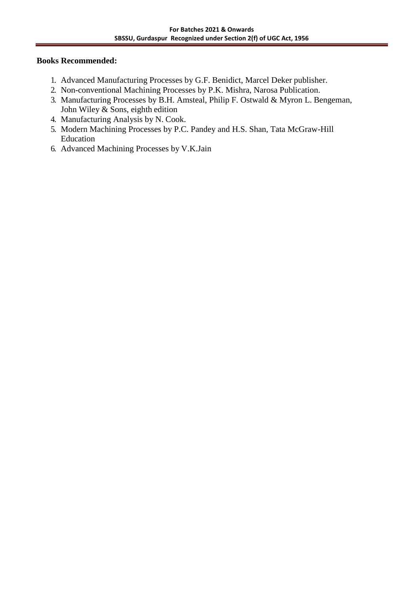- 1. Advanced Manufacturing Processes by G.F. Benidict, Marcel Deker publisher.
- 2. Non-conventional Machining Processes by P.K. Mishra, Narosa Publication.
- 3. Manufacturing Processes by B.H. Amsteal, Philip F. Ostwald & Myron L. Bengeman, John Wiley & Sons, eighth edition
- 4. Manufacturing Analysis by N. Cook.
- 5. Modern Machining Processes by P.C. Pandey and H.S. Shan, Tata McGraw-Hill Education
- 6. Advanced Machining Processes by V.K.Jain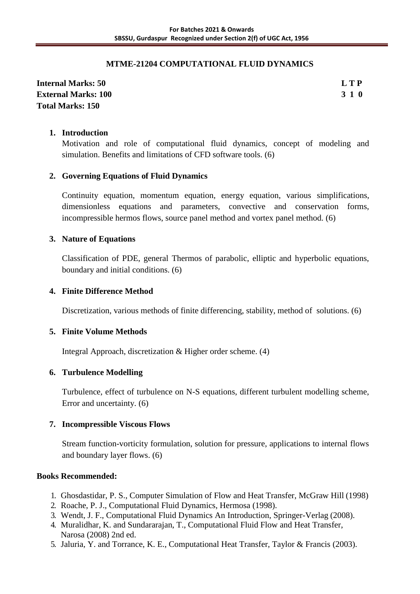## **MTME-21204 COMPUTATIONAL FLUID DYNAMICS**

## **Internal Marks: 50 L T P External Marks: 100 3 1 0 Total Marks: 150**

## **1. Introduction**

Motivation and role of computational fluid dynamics, concept of modeling and simulation. Benefits and limitations of CFD software tools. (6)

## **2. Governing Equations of Fluid Dynamics**

Continuity equation, momentum equation, energy equation, various simplifications, dimensionless equations and parameters, convective and conservation forms, incompressible hermos flows, source panel method and vortex panel method. (6)

## **3. Nature of Equations**

Classification of PDE, general Thermos of parabolic, elliptic and hyperbolic equations, boundary and initial conditions. (6)

## **4. Finite Difference Method**

Discretization, various methods of finite differencing, stability, method of solutions. (6)

## **5. Finite Volume Methods**

Integral Approach, discretization & Higher order scheme. (4)

## **6. Turbulence Modelling**

Turbulence, effect of turbulence on N-S equations, different turbulent modelling scheme, Error and uncertainty. (6)

## **7. Incompressible Viscous Flows**

Stream function-vorticity formulation, solution for pressure, applications to internal flows and boundary layer flows. (6)

- 1. Ghosdastidar, P. S., Computer Simulation of Flow and Heat Transfer, McGraw Hill (1998)
- 2. Roache, P. J., Computational Fluid Dynamics, Hermosa (1998).
- 3. Wendt, J. F., Computational Fluid Dynamics An Introduction, Springer-Verlag (2008).
- 4. Muralidhar, K. and Sundararajan, T., Computational Fluid Flow and Heat Transfer, Narosa (2008) 2nd ed.
- 5. Jaluria, Y. and Torrance, K. E., Computational Heat Transfer, Taylor & Francis (2003).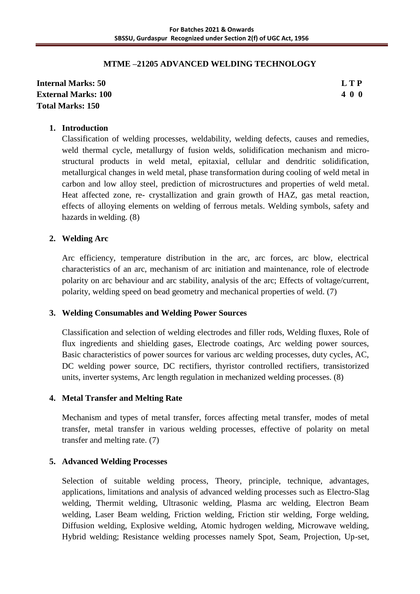## **MTME –21205 ADVANCED WELDING TECHNOLOGY**

## **Internal Marks: 50 L T P External Marks: 100 4 0 0 Total Marks: 150**

## **1. Introduction**

Classification of welding processes, weldability, welding defects, causes and remedies, weld thermal cycle, metallurgy of fusion welds, solidification mechanism and microstructural products in weld metal, epitaxial, cellular and dendritic solidification, metallurgical changes in weld metal, phase transformation during cooling of weld metal in carbon and low alloy steel, prediction of microstructures and properties of weld metal. Heat affected zone, re- crystallization and grain growth of HAZ, gas metal reaction, effects of alloying elements on welding of ferrous metals. Welding symbols, safety and hazards in welding. (8)

## **2. Welding Arc**

Arc efficiency, temperature distribution in the arc, arc forces, arc blow, electrical characteristics of an arc, mechanism of arc initiation and maintenance, role of electrode polarity on arc behaviour and arc stability, analysis of the arc; Effects of voltage/current, polarity, welding speed on bead geometry and mechanical properties of weld. (7)

## **3. Welding Consumables and Welding Power Sources**

Classification and selection of welding electrodes and filler rods, Welding fluxes, Role of flux ingredients and shielding gases, Electrode coatings, Arc welding power sources, Basic characteristics of power sources for various arc welding processes, duty cycles, AC, DC welding power source, DC rectifiers, thyristor controlled rectifiers, transistorized units, inverter systems, Arc length regulation in mechanized welding processes. (8)

## **4. Metal Transfer and Melting Rate**

Mechanism and types of metal transfer, forces affecting metal transfer, modes of metal transfer, metal transfer in various welding processes, effective of polarity on metal transfer and melting rate. (7)

## **5. Advanced Welding Processes**

Selection of suitable welding process, Theory, principle, technique, advantages, applications, limitations and analysis of advanced welding processes such as Electro-Slag welding, Thermit welding, Ultrasonic welding, Plasma arc welding, Electron Beam welding, Laser Beam welding, Friction welding, Friction stir welding, Forge welding, Diffusion welding, Explosive welding, Atomic hydrogen welding, Microwave welding, Hybrid welding; Resistance welding processes namely Spot, Seam, Projection, Up-set,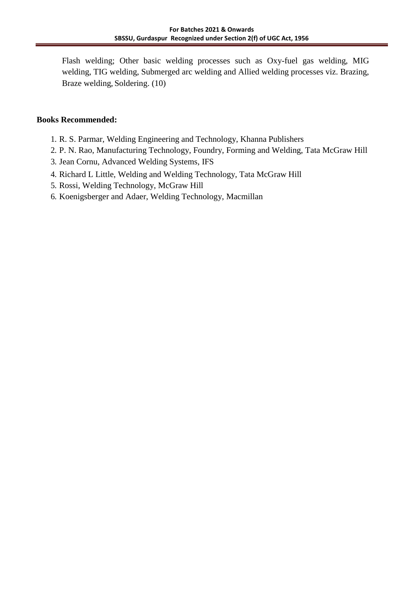Flash welding; Other basic welding processes such as Oxy-fuel gas welding, MIG welding, TIG welding, Submerged arc welding and Allied welding processes viz. Brazing, Braze welding, Soldering. (10)

- 1. R. S. Parmar, Welding Engineering and Technology, Khanna Publishers
- 2. P. N. Rao, Manufacturing Technology, Foundry, Forming and Welding, Tata McGraw Hill
- 3. Jean Cornu, Advanced Welding Systems, IFS
- 4. Richard L Little, Welding and Welding Technology, Tata McGraw Hill
- 5. Rossi, Welding Technology, McGraw Hill
- 6. Koenigsberger and Adaer, Welding Technology, Macmillan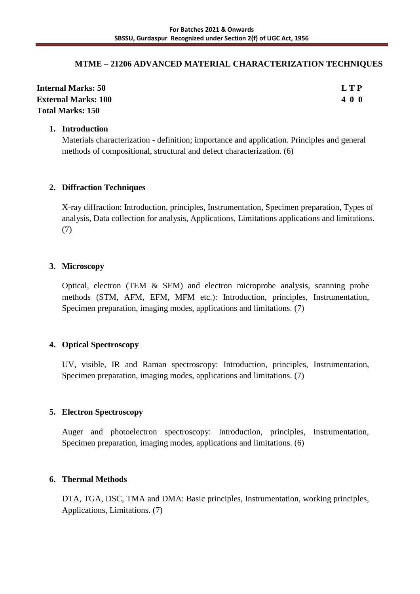## **MTME – 21206 ADVANCED MATERIAL CHARACTERIZATION TECHNIQUES**

| <b>Internal Marks: 50</b>  | LTP |
|----------------------------|-----|
| <b>External Marks: 100</b> | 400 |
| <b>Total Marks: 150</b>    |     |

## **1. Introduction**

Materials characterization - definition; importance and application. Principles and general methods of compositional, structural and defect characterization. (6)

## **2. Diffraction Techniques**

X-ray diffraction: Introduction, principles, Instrumentation, Specimen preparation, Types of analysis, Data collection for analysis, Applications, Limitations applications and limitations. (7)

## **3. Microscopy**

Optical, electron (TEM & SEM) and electron microprobe analysis, scanning probe methods (STM, AFM, EFM, MFM etc.): Introduction, principles, Instrumentation, Specimen preparation, imaging modes, applications and limitations. (7)

## **4. Optical Spectroscopy**

UV, visible, IR and Raman spectroscopy: Introduction, principles, Instrumentation, Specimen preparation, imaging modes, applications and limitations. (7)

## **5. Electron Spectroscopy**

Auger and photoelectron spectroscopy: Introduction, principles, Instrumentation, Specimen preparation, imaging modes, applications and limitations. (6)

## **6. Thermal Methods**

DTA, TGA, DSC, TMA and DMA: Basic principles, Instrumentation, working principles, Applications, Limitations. (7)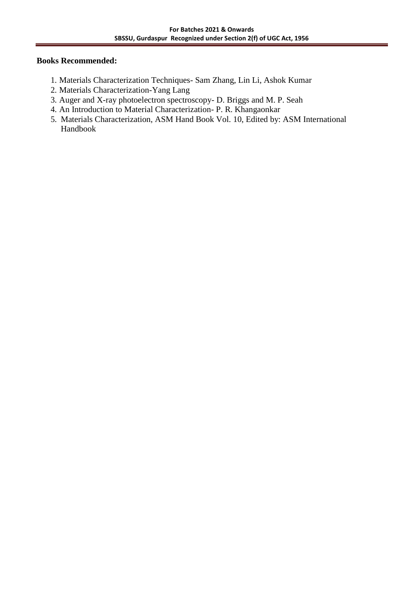- 1. Materials Characterization Techniques- Sam Zhang, Lin Li, Ashok Kumar
- 2. Materials Characterization-Yang Lang
- 3. Auger and X-ray photoelectron spectroscopy- D. Briggs and M. P. Seah
- 4. An Introduction to Material Characterization- P. R. Khangaonkar
- 5. Materials Characterization, ASM Hand Book Vol. 10, Edited by: ASM International Handbook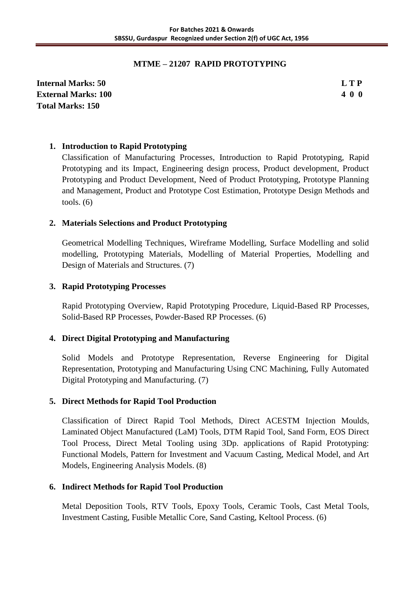## **MTME – 21207 RAPID PROTOTYPING**

**Internal Marks: 50 L T P External Marks: 100 4 0 0 Total Marks: 150**

## **1. Introduction to Rapid Prototyping**

Classification of Manufacturing Processes, Introduction to Rapid Prototyping, Rapid Prototyping and its Impact, Engineering design process, Product development, Product Prototyping and Product Development, Need of Product Prototyping, Prototype Planning and Management, Product and Prototype Cost Estimation, Prototype Design Methods and tools.  $(6)$ 

## **2. Materials Selections and Product Prototyping**

Geometrical Modelling Techniques, Wireframe Modelling, Surface Modelling and solid modelling, Prototyping Materials, Modelling of Material Properties, Modelling and Design of Materials and Structures. (7)

## **3. Rapid Prototyping Processes**

Rapid Prototyping Overview, Rapid Prototyping Procedure, Liquid-Based RP Processes, Solid-Based RP Processes, Powder-Based RP Processes. (6)

## **4. Direct Digital Prototyping and Manufacturing**

Solid Models and Prototype Representation, Reverse Engineering for Digital Representation, Prototyping and Manufacturing Using CNC Machining, Fully Automated Digital Prototyping and Manufacturing. (7)

## **5. Direct Methods for Rapid Tool Production**

Classification of Direct Rapid Tool Methods, Direct ACESTM Injection Moulds, Laminated Object Manufactured (LaM) Tools, DTM Rapid Tool, Sand Form, EOS Direct Tool Process, Direct Metal Tooling using 3Dp. applications of Rapid Prototyping: Functional Models, Pattern for Investment and Vacuum Casting, Medical Model, and Art Models, Engineering Analysis Models. (8)

## **6. Indirect Methods for Rapid Tool Production**

Metal Deposition Tools, RTV Tools, Epoxy Tools, Ceramic Tools, Cast Metal Tools, Investment Casting, Fusible Metallic Core, Sand Casting, Keltool Process. (6)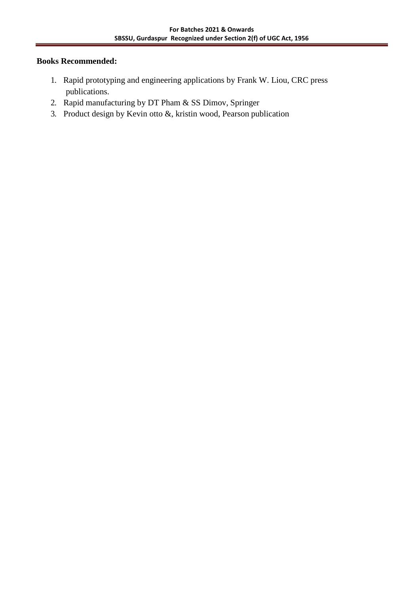- 1. Rapid prototyping and engineering applications by Frank W. Liou, CRC press publications.
- 2. Rapid manufacturing by DT Pham & SS Dimov, Springer
- 3. Product design by Kevin otto &, kristin wood, Pearson publication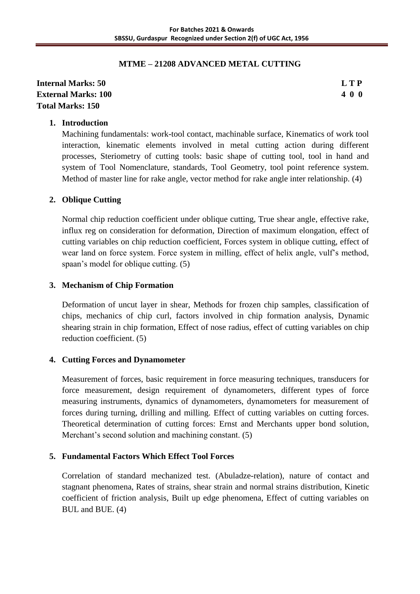## **MTME – 21208 ADVANCED METAL CUTTING**

## **Internal Marks: 50 L T P External Marks: 100 4 0 0 Total Marks: 150**

## **1. Introduction**

Machining fundamentals: work-tool contact, machinable surface, Kinematics of work tool interaction, kinematic elements involved in metal cutting action during different processes, Steriometry of cutting tools: basic shape of cutting tool, tool in hand and system of Tool Nomenclature, standards, Tool Geometry, tool point reference system. Method of master line for rake angle, vector method for rake angle inter relationship. (4)

## **2. Oblique Cutting**

Normal chip reduction coefficient under oblique cutting, True shear angle, effective rake, influx reg on consideration for deformation, Direction of maximum elongation, effect of cutting variables on chip reduction coefficient, Forces system in oblique cutting, effect of wear land on force system. Force system in milling, effect of helix angle, vulf's method, spaan's model for oblique cutting. (5)

## **3. Mechanism of Chip Formation**

Deformation of uncut layer in shear, Methods for frozen chip samples, classification of chips, mechanics of chip curl, factors involved in chip formation analysis, Dynamic shearing strain in chip formation, Effect of nose radius, effect of cutting variables on chip reduction coefficient. (5)

## **4. Cutting Forces and Dynamometer**

Measurement of forces, basic requirement in force measuring techniques, transducers for force measurement, design requirement of dynamometers, different types of force measuring instruments, dynamics of dynamometers, dynamometers for measurement of forces during turning, drilling and milling. Effect of cutting variables on cutting forces. Theoretical determination of cutting forces: Ernst and Merchants upper bond solution, Merchant's second solution and machining constant. (5)

## **5. Fundamental Factors Which Effect Tool Forces**

Correlation of standard mechanized test. (Abuladze-relation), nature of contact and stagnant phenomena, Rates of strains, shear strain and normal strains distribution, Kinetic coefficient of friction analysis, Built up edge phenomena, Effect of cutting variables on BUL and BUE. (4)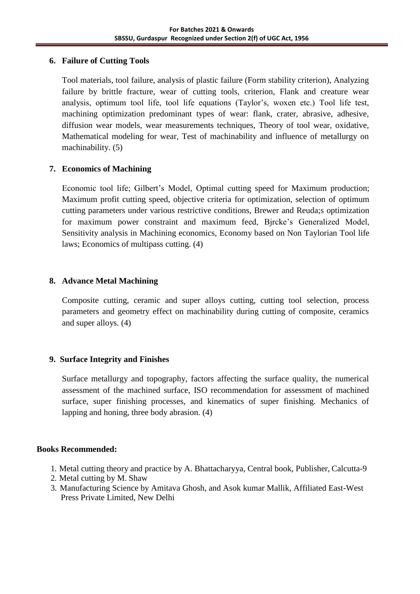## **6. Failure of Cutting Tools**

Tool materials, tool failure, analysis of plastic failure (Form stability criterion), Analyzing failure by brittle fracture, wear of cutting tools, criterion, Flank and creature wear analysis, optimum tool life, tool life equations (Taylor's, woxen etc.) Tool life test, machining optimization predominant types of wear: flank, crater, abrasive, adhesive, diffusion wear models, wear measurements techniques, Theory of tool wear, oxidative, Mathematical modeling for wear, Test of machinability and influence of metallurgy on machinability. (5)

## **7. Economics of Machining**

Economic tool life; Gilbert's Model, Optimal cutting speed for Maximum production; Maximum profit cutting speed, objective criteria for optimization, selection of optimum cutting parameters under various restrictive conditions, Brewer and Reuda;s optimization for maximum power constraint and maximum feed, Bjrcke's Generalized Model, Sensitivity analysis in Machining economics, Economy based on Non Taylorian Tool life laws; Economics of multipass cutting. (4)

## **8. Advance Metal Machining**

Composite cutting, ceramic and super alloys cutting, cutting tool selection, process parameters and geometry effect on machinability during cutting of composite, ceramics and super alloys. (4)

## **9. Surface Integrity and Finishes**

Surface metallurgy and topography, factors affecting the surface quality, the numerical assessment of the machined surface, ISO recommendation for assessment of machined surface, super finishing processes, and kinematics of super finishing. Mechanics of lapping and honing, three body abrasion. (4)

- 1. Metal cutting theory and practice by A. Bhattacharyya, Central book, Publisher, Calcutta-9
- 2. Metal cutting by M. Shaw
- 3. Manufacturing Science by Amitava Ghosh, and Asok kumar Mallik, Affiliated East-West Press Private Limited, New Delhi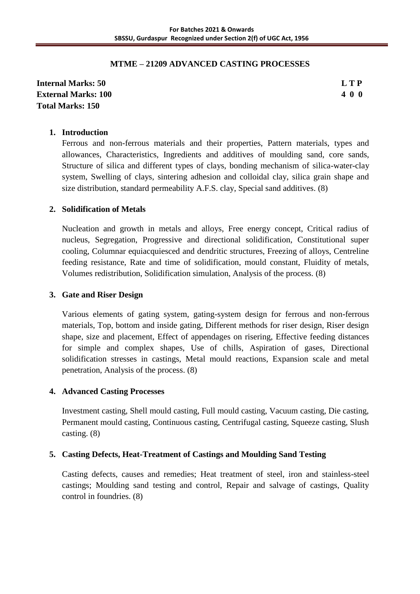## **MTME – 21209 ADVANCED CASTING PROCESSES**

## **Internal Marks: 50 L T P External Marks: 100 4 0 0 Total Marks: 150**

#### **1. Introduction**

Ferrous and non-ferrous materials and their properties, Pattern materials, types and allowances, Characteristics, Ingredients and additives of moulding sand, core sands, Structure of silica and different types of clays, bonding mechanism of silica-water-clay system, Swelling of clays, sintering adhesion and colloidal clay, silica grain shape and size distribution, standard permeability A.F.S. clay, Special sand additives. (8)

#### **2. Solidification of Metals**

Nucleation and growth in metals and alloys, Free energy concept, Critical radius of nucleus, Segregation, Progressive and directional solidification, Constitutional super cooling, Columnar equiacquiesced and dendritic structures, Freezing of alloys, Centreline feeding resistance, Rate and time of solidification, mould constant, Fluidity of metals, Volumes redistribution, Solidification simulation, Analysis of the process. (8)

#### **3. Gate and Riser Design**

Various elements of gating system, gating-system design for ferrous and non-ferrous materials, Top, bottom and inside gating, Different methods for riser design, Riser design shape, size and placement, Effect of appendages on risering, Effective feeding distances for simple and complex shapes, Use of chills, Aspiration of gases, Directional solidification stresses in castings, Metal mould reactions, Expansion scale and metal penetration, Analysis of the process. (8)

## **4. Advanced Casting Processes**

Investment casting, Shell mould casting, Full mould casting, Vacuum casting, Die casting, Permanent mould casting, Continuous casting, Centrifugal casting, Squeeze casting, Slush casting. (8)

## **5. Casting Defects, Heat-Treatment of Castings and Moulding Sand Testing**

Casting defects, causes and remedies; Heat treatment of steel, iron and stainless-steel castings; Moulding sand testing and control, Repair and salvage of castings, Quality control in foundries. (8)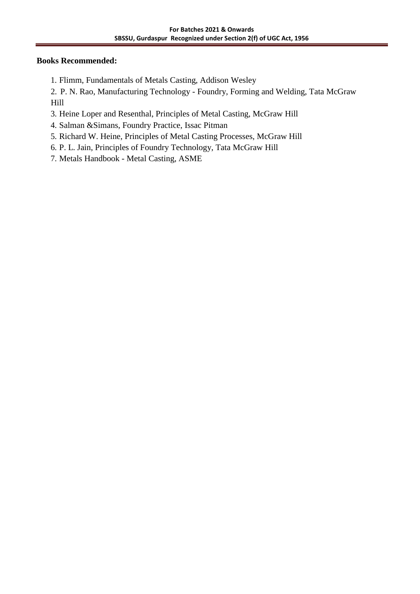1. Flimm, Fundamentals of Metals Casting, Addison Wesley

2. P. N. Rao, Manufacturing Technology - Foundry, Forming and Welding, Tata McGraw Hill

- 3. Heine Loper and Resenthal, Principles of Metal Casting, McGraw Hill
- 4. Salman &Simans, Foundry Practice, Issac Pitman
- 5. Richard W. Heine, Principles of Metal Casting Processes, McGraw Hill
- 6. P. L. Jain, Principles of Foundry Technology, Tata McGraw Hill
- 7. Metals Handbook Metal Casting, ASME